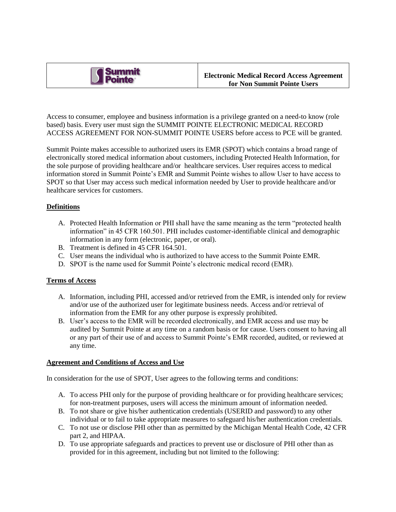

Access to consumer, employee and business information is a privilege granted on a need-to know (role based) basis. Every user must sign the SUMMIT POINTE ELECTRONIC MEDICAL RECORD ACCESS AGREEMENT FOR NON-SUMMIT POINTE USERS before access to PCE will be granted.

Summit Pointe makes accessible to authorized users its EMR (SPOT) which contains a broad range of electronically stored medical information about customers, including Protected Health Information, for the sole purpose of providing healthcare and/or healthcare services. User requires access to medical information stored in Summit Pointe's EMR and Summit Pointe wishes to allow User to have access to SPOT so that User may access such medical information needed by User to provide healthcare and/or healthcare services for customers.

## **Definitions**

- A. Protected Health Information or PHI shall have the same meaning as the term "protected health information" in 45 CFR 160.501. PHI includes customer-identifiable clinical and demographic information in any form (electronic, paper, or oral).
- B. Treatment is defined in 45 CFR 164.501.
- C. User means the individual who is authorized to have access to the Summit Pointe EMR.
- D. SPOT is the name used for Summit Pointe's electronic medical record (EMR).

## **Terms of Access**

- A. Information, including PHI, accessed and/or retrieved from the EMR, is intended only for review and/or use of the authorized user for legitimate business needs. Access and/or retrieval of information from the EMR for any other purpose is expressly prohibited.
- B. User's access to the EMR will be recorded electronically, and EMR access and use may be audited by Summit Pointe at any time on a random basis or for cause. Users consent to having all or any part of their use of and access to Summit Pointe's EMR recorded, audited, or reviewed at any time.

## **Agreement and Conditions of Access and Use**

In consideration for the use of SPOT, User agrees to the following terms and conditions:

- A. To access PHI only for the purpose of providing healthcare or for providing healthcare services; for non-treatment purposes, users will access the minimum amount of information needed.
- B. To not share or give his/her authentication credentials (USERID and password) to any other individual or to fail to take appropriate measures to safeguard his/her authentication credentials.
- C. To not use or disclose PHI other than as permitted by the Michigan Mental Health Code, 42 CFR part 2, and HIPAA.
- D. To use appropriate safeguards and practices to prevent use or disclosure of PHI other than as provided for in this agreement, including but not limited to the following: